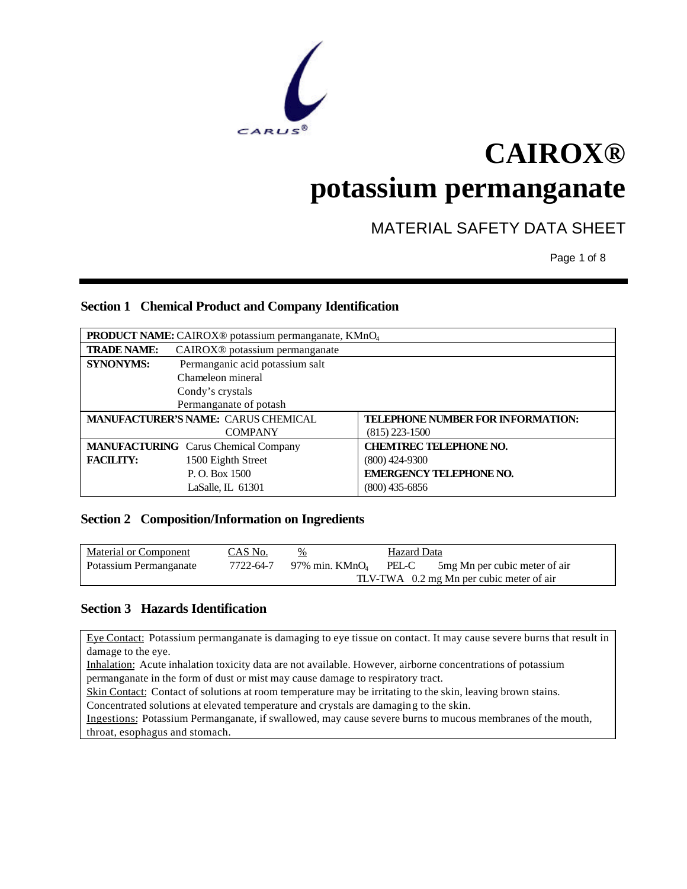

# **CAIROX®**

## **potassium permanganate**

## MATERIAL SAFETY DATA SHEET

Page 1 of 8

### **Section 1 Chemical Product and Company Identification**

| <b>PRODUCT NAME:</b> CAIROX <sup>®</sup> potassium permanganate, KMnO <sub>4</sub> |                                             |                                   |
|------------------------------------------------------------------------------------|---------------------------------------------|-----------------------------------|
| <b>TRADE NAME:</b>                                                                 | CAIROX <sup>®</sup> potassium permanganate  |                                   |
| <b>SYNONYMS:</b>                                                                   | Permanganic acid potassium salt             |                                   |
|                                                                                    | Chameleon mineral                           |                                   |
|                                                                                    | Condy's crystals                            |                                   |
|                                                                                    | Permanganate of potash                      |                                   |
|                                                                                    | MANUFACTURER'S NAME: CARUS CHEMICAL         | TELEPHONE NUMBER FOR INFORMATION: |
|                                                                                    | <b>COMPANY</b>                              | $(815)$ 223-1500                  |
|                                                                                    | <b>MANUFACTURING</b> Carus Chemical Company | <b>CHEMTREC TELEPHONE NO.</b>     |
| <b>FACILITY:</b>                                                                   | 1500 Eighth Street                          | $(800)$ 424-9300                  |
|                                                                                    | P.O. Box 1500                               | <b>EMERGENCY TELEPHONE NO.</b>    |
|                                                                                    | LaSalle, IL 61301                           | $(800)$ 435-6856                  |

### **Section 2 Composition/Information on Ingredients**

| <b>Material or Component</b> | CAS No.   | $\frac{\%}{\%}$                          | Hazard Data |                                |
|------------------------------|-----------|------------------------------------------|-------------|--------------------------------|
| Potassium Permanganate       | 7722-64-7 | 97% min. KMn $O_4$                       | PEL-C       | 5 mg Mn per cubic meter of air |
|                              |           | TLV-TWA 0.2 mg Mn per cubic meter of air |             |                                |

### **Section 3 Hazards Identification**

Eye Contact: Potassium permanganate is damaging to eye tissue on contact. It may cause severe burns that result in damage to the eye.

Inhalation: Acute inhalation toxicity data are not available. However, airborne concentrations of potassium permanganate in the form of dust or mist may cause damage to respiratory tract.

Skin Contact: Contact of solutions at room temperature may be irritating to the skin, leaving brown stains.

Concentrated solutions at elevated temperature and crystals are damaging to the skin.

Ingestions: Potassium Permanganate, if swallowed, may cause severe burns to mucous membranes of the mouth, throat, esophagus and stomach.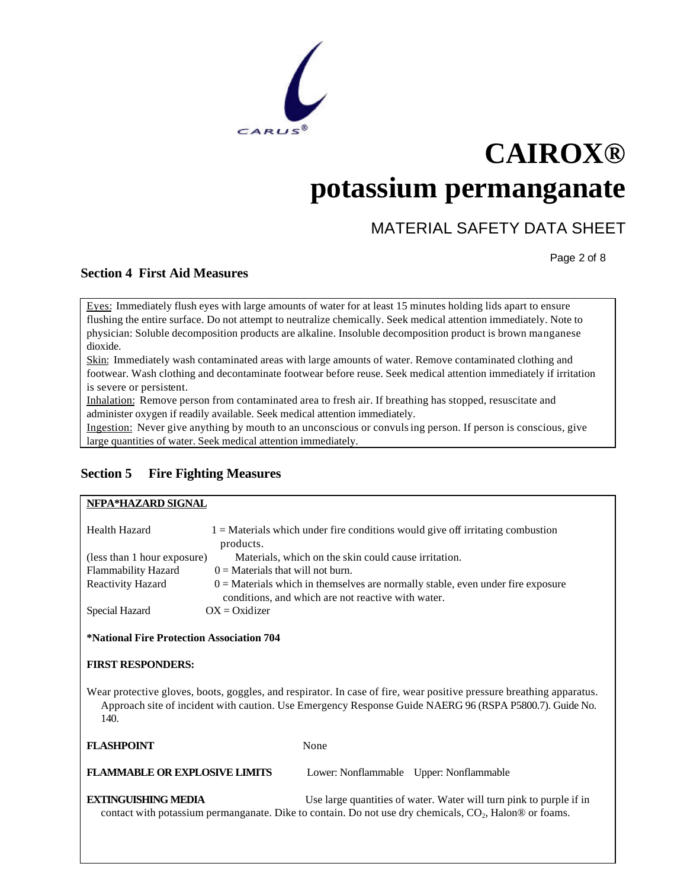

### MATERIAL SAFETY DATA SHEET

Page 2 of 8

### **Section 4 First Aid Measures**

Eyes: Immediately flush eyes with large amounts of water for at least 15 minutes holding lids apart to ensure flushing the entire surface. Do not attempt to neutralize chemically. Seek medical attention immediately. Note to physician: Soluble decomposition products are alkaline. Insoluble decomposition product is brown manganese dioxide.

Skin: Immediately wash contaminated areas with large amounts of water. Remove contaminated clothing and footwear. Wash clothing and decontaminate footwear before reuse. Seek medical attention immediately if irritation is severe or persistent.

Inhalation: Remove person from contaminated area to fresh air. If breathing has stopped, resuscitate and administer oxygen if readily available. Seek medical attention immediately.

Ingestion: Never give anything by mouth to an unconscious or convulsing person. If person is conscious, give large quantities of water. Seek medical attention immediately.

### **Section 5 Fire Fighting Measures**

### **NFPA\*HAZARD SIGNAL**

| Health Hazard                                                                                                                                                                                                                           | products.                                                                                                                               | $1 =$ Materials which under fire conditions would give off irritating combustion |  |
|-----------------------------------------------------------------------------------------------------------------------------------------------------------------------------------------------------------------------------------------|-----------------------------------------------------------------------------------------------------------------------------------------|----------------------------------------------------------------------------------|--|
|                                                                                                                                                                                                                                         | (less than 1 hour exposure)<br>Materials, which on the skin could cause irritation.                                                     |                                                                                  |  |
| Flammability Hazard                                                                                                                                                                                                                     | $0 =$ Materials that will not burn.                                                                                                     |                                                                                  |  |
| Reactivity Hazard                                                                                                                                                                                                                       | $0 =$ Materials which in themselves are normally stable, even under fire exposure<br>conditions, and which are not reactive with water. |                                                                                  |  |
| Special Hazard                                                                                                                                                                                                                          | $OX = Oxidizer$                                                                                                                         |                                                                                  |  |
| <i>*National Fire Protection Association 704</i><br><b>FIRST RESPONDERS:</b>                                                                                                                                                            |                                                                                                                                         |                                                                                  |  |
| Wear protective gloves, boots, goggles, and respirator. In case of fire, wear positive pressure breathing apparatus.<br>Approach site of incident with caution. Use Emergency Response Guide NAERG 96 (RSPA P5800.7). Guide No.<br>140. |                                                                                                                                         |                                                                                  |  |
| <b>FLASHPOINT</b>                                                                                                                                                                                                                       |                                                                                                                                         | None                                                                             |  |
| <b>FLAMMABLE OR EXPLOSIVE LIMITS</b>                                                                                                                                                                                                    |                                                                                                                                         | Lower: Nonflammable Upper: Nonflammable                                          |  |
| <b>EXTINGUISHING MEDIA</b><br>Use large quantities of water. Water will turn pink to purple if in<br>contact with potassium permanganate. Dike to contain. Do not use dry chemicals, $CO2$ , Halon® or foams.                           |                                                                                                                                         |                                                                                  |  |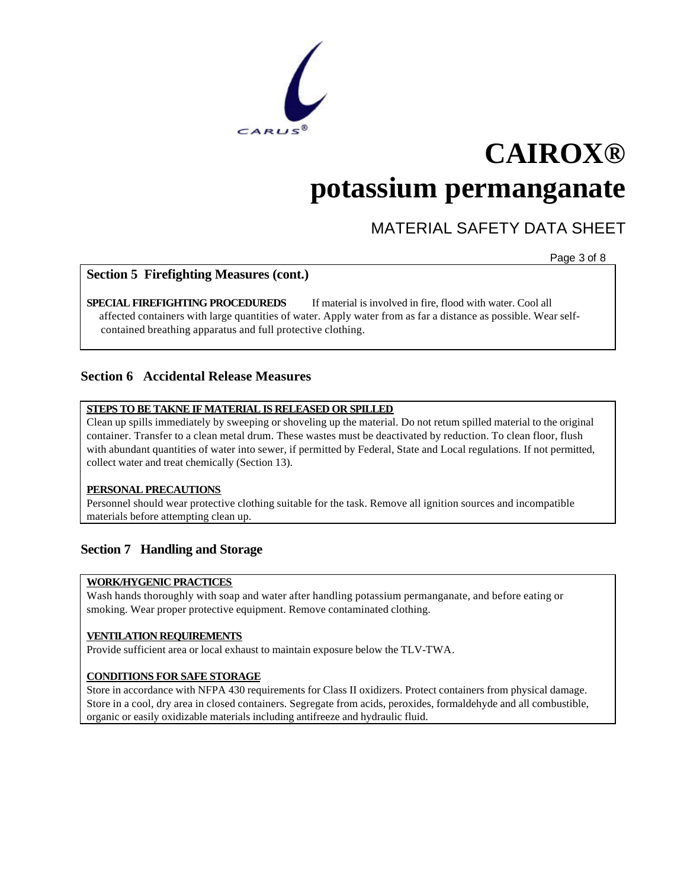

### MATERIAL SAFETY DATA SHEET

Page 3 of 8

### **Section 5 Firefighting Measures (cont.)**

**SPECIAL FIREFIGHTING PROCEDUREDS** If material is involved in fire, flood with water. Cool all affected containers with large quantities of water. Apply water from as far a distance as possible. Wear selfcontained breathing apparatus and full protective clothing.

### **Section 6 Accidental Release Measures**

### **STEPS TO BE TAKNE IF MATERIAL IS RELEASED OR SPILLED**

Clean up spills immediately by sweeping or shoveling up the material. Do not return spilled material to the original container. Transfer to a clean metal drum. These wastes must be deactivated by reduction. To clean floor, flush with abundant quantities of water into sewer, if permitted by Federal, State and Local regulations. If not permitted, collect water and treat chemically (Section 13).

#### **PERSONAL PRECAUTIONS**

Personnel should wear protective clothing suitable for the task. Remove all ignition sources and incompatible materials before attempting clean up.

### **Section 7 Handling and Storage**

### **WORK/HYGENIC PRACTICES**

Wash hands thoroughly with soap and water after handling potassium permanganate, and before eating or smoking. Wear proper protective equipment. Remove contaminated clothing.

### **VENTILATION REQUIREMENTS**

Provide sufficient area or local exhaust to maintain exposure below the TLV-TWA.

### **CONDITIONS FOR SAFE STORAGE**

Store in accordance with NFPA 430 requirements for Class II oxidizers. Protect containers from physical damage. Store in a cool, dry area in closed containers. Segregate from acids, peroxides, formaldehyde and all combustible, organic or easily oxidizable materials including antifreeze and hydraulic fluid.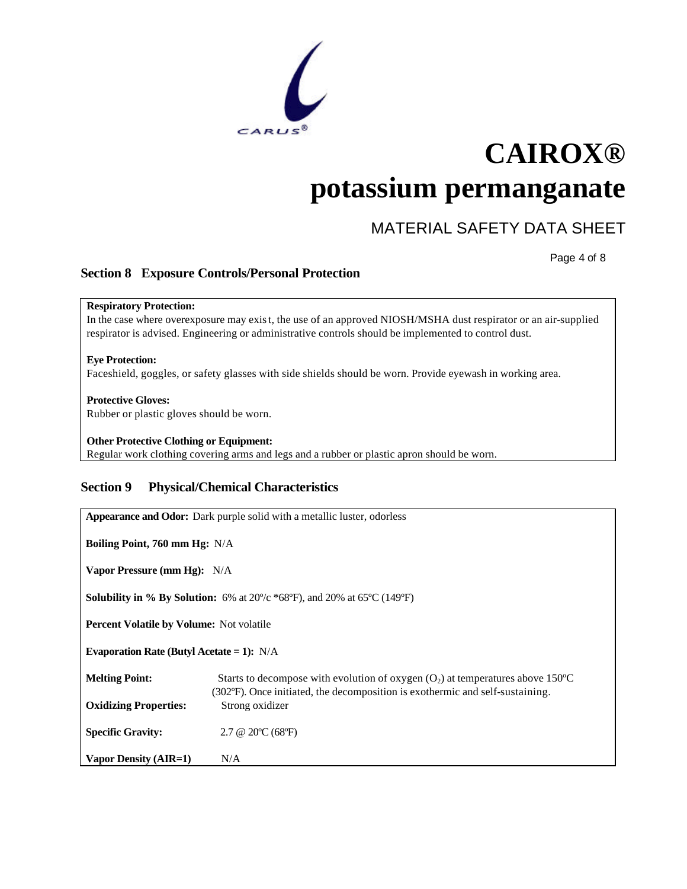

### MATERIAL SAFETY DATA SHEET

Page 4 of 8

### **Section 8 Exposure Controls/Personal Protection**

**Respiratory Protection:** In the case where overexposure may exist, the use of an approved NIOSH/MSHA dust respirator or an air-supplied respirator is advised. Engineering or administrative controls should be implemented to control dust.

**Eye Protection:** Faceshield, goggles, or safety glasses with side shields should be worn. Provide eyewash in working area.

#### **Protective Gloves:**

Rubber or plastic gloves should be worn.

**Other Protective Clothing or Equipment:** Regular work clothing covering arms and legs and a rubber or plastic apron should be worn.

### **Section 9 Physical/Chemical Characteristics**

| Appearance and Odor: Dark purple solid with a metallic luster, odorless                                               |                                                                                                                                                                   |  |
|-----------------------------------------------------------------------------------------------------------------------|-------------------------------------------------------------------------------------------------------------------------------------------------------------------|--|
| <b>Boiling Point, 760 mm Hg:</b> N/A                                                                                  |                                                                                                                                                                   |  |
| Vapor Pressure (mm Hg): N/A                                                                                           |                                                                                                                                                                   |  |
| <b>Solubility in % By Solution:</b> 6% at $20\degree c$ *68 $\degree$ F), and 20% at 65 $\degree$ C (149 $\degree$ F) |                                                                                                                                                                   |  |
| <b>Percent Volatile by Volume:</b> Not volatile                                                                       |                                                                                                                                                                   |  |
| Evaporation Rate (Butyl Acetate = 1): $N/A$                                                                           |                                                                                                                                                                   |  |
| <b>Melting Point:</b>                                                                                                 | Starts to decompose with evolution of oxygen $(O_2)$ at temperatures above 150°C<br>(302°F). Once initiated, the decomposition is exothermic and self-sustaining. |  |
| <b>Oxidizing Properties:</b>                                                                                          | Strong oxidizer                                                                                                                                                   |  |
| <b>Specific Gravity:</b>                                                                                              | $2.7 \& 20^{\circ}C (68^{\circ}F)$                                                                                                                                |  |
| Vapor Density (AIR=1)                                                                                                 | N/A                                                                                                                                                               |  |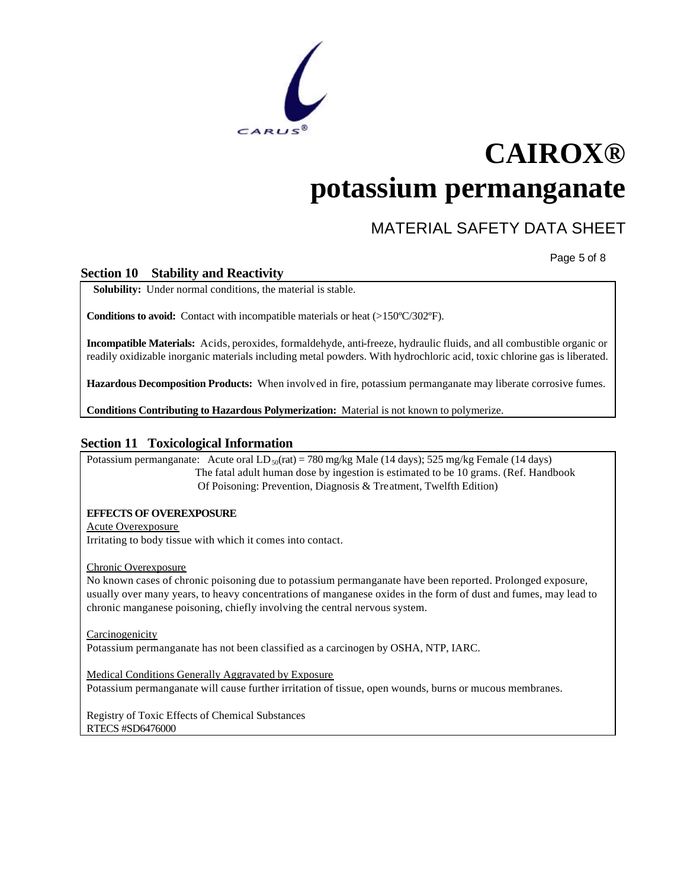

### MATERIAL SAFETY DATA SHEET

Page 5 of 8

### **Section 10 Stability and Reactivity**

**Solubility:** Under normal conditions, the material is stable.

**Conditions to avoid:** Contact with incompatible materials or heat (>150ºC/302ºF).

**Incompatible Materials:** Acids, peroxides, formaldehyde, anti-freeze, hydraulic fluids, and all combustible organic or readily oxidizable inorganic materials including metal powders. With hydrochloric acid, toxic chlorine gas is liberated.

**Hazardous Decomposition Products:** When involved in fire, potassium permanganate may liberate corrosive fumes.

**Conditions Contributing to Hazardous Polymerization:** Material is not known to polymerize.

#### **Section 11 Toxicological Information**

Potassium permanganate: Acute oral  $LD_{50}$ (rat) = 780 mg/kg Male (14 days); 525 mg/kg Female (14 days) The fatal adult human dose by ingestion is estimated to be 10 grams. (Ref. Handbook Of Poisoning: Prevention, Diagnosis & Treatment, Twelfth Edition)

#### **EFFECTS OF OVEREXPOSURE**

Acute Overexposure Irritating to body tissue with which it comes into contact.

#### Chronic Overexposure

No known cases of chronic poisoning due to potassium permanganate have been reported. Prolonged exposure, usually over many years, to heavy concentrations of manganese oxides in the form of dust and fumes, may lead to chronic manganese poisoning, chiefly involving the central nervous system.

**Carcinogenicity** 

Potassium permanganate has not been classified as a carcinogen by OSHA, NTP, IARC.

Medical Conditions Generally Aggravated by Exposure

Potassium permanganate will cause further irritation of tissue, open wounds, burns or mucous membranes.

Registry of Toxic Effects of Chemical Substances RTECS #SD6476000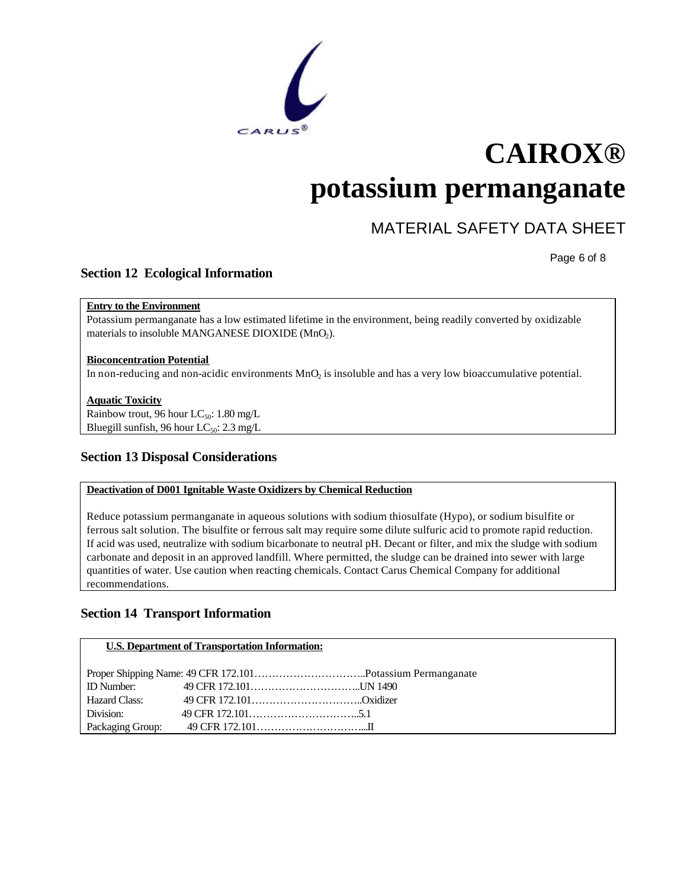

### MATERIAL SAFETY DATA SHEET

Page 6 of 8

### **Section 12 Ecological Information**

### **Entry to the Environment**

Potassium permanganate has a low estimated lifetime in the environment, being readily converted by oxidizable materials to insoluble MANGANESE DIOXIDE (MnO2).

### **Bioconcentration Potential**

In non-reducing and non-acidic environments  $MnO<sub>2</sub>$  is insoluble and has a very low bioaccumulative potential.

### **Aquatic Toxicity**

Rainbow trout, 96 hour LC<sub>50</sub>: 1.80 mg/L Bluegill sunfish, 96 hour  $LC_{50}$ : 2.3 mg/L

### **Section 13 Disposal Considerations**

### **Deactivation of D001 Ignitable Waste Oxidizers by Chemical Reduction**

Reduce potassium permanganate in aqueous solutions with sodium thiosulfate (Hypo), or sodium bisulfite or ferrous salt solution. The bisulfite or ferrous salt may require some dilute sulfuric acid to promote rapid reduction. If acid was used, neutralize with sodium bicarbonate to neutral pH. Decant or filter, and mix the sludge with sodium carbonate and deposit in an approved landfill. Where permitted, the sludge can be drained into sewer with large quantities of water. Use caution when reacting chemicals. Contact Carus Chemical Company for additional recommendations.

### **Section 14 Transport Information**

### **U.S. Department of Transportation Information:**

| Hazard Class: |  |
|---------------|--|
| Division:     |  |
|               |  |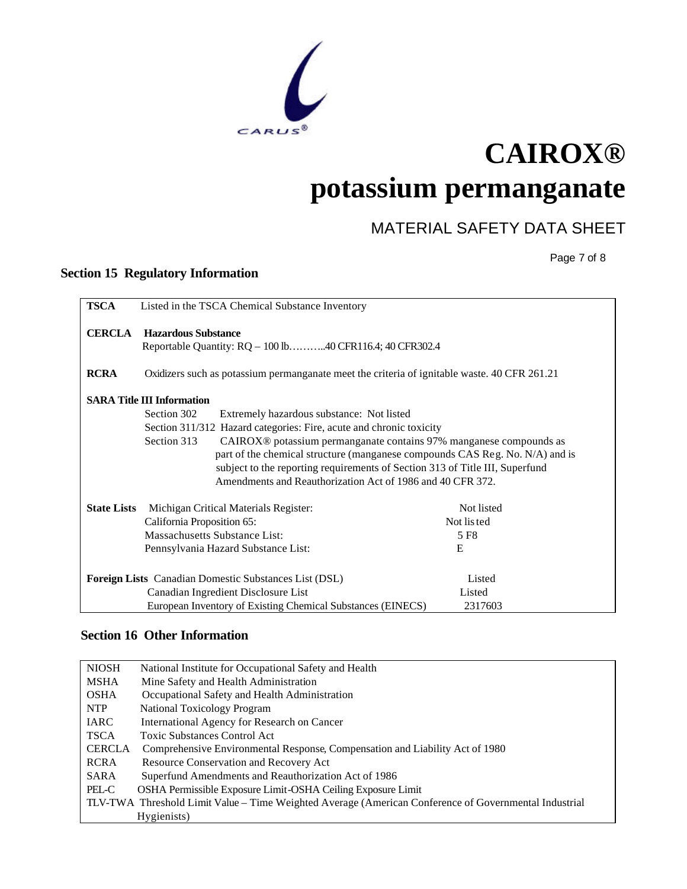

## MATERIAL SAFETY DATA SHEET

Page 7 of 8

### **Section 15 Regulatory Information**

| <b>TSCA</b>        | Listed in the TSCA Chemical Substance Inventory                                                                                                                                                                                                                                                                             |            |
|--------------------|-----------------------------------------------------------------------------------------------------------------------------------------------------------------------------------------------------------------------------------------------------------------------------------------------------------------------------|------------|
| <b>CERCLA</b>      | <b>Hazardous Substance</b><br>Reportable Quantity: RQ - 100 lb40 CFR116.4; 40 CFR302.4                                                                                                                                                                                                                                      |            |
| <b>RCRA</b>        | Oxidizers such as potassium permanganate meet the criteria of ignitable waste. 40 CFR 261.21                                                                                                                                                                                                                                |            |
|                    | <b>SARA Title III Information</b>                                                                                                                                                                                                                                                                                           |            |
|                    | Section 302<br>Extremely hazardous substance: Not listed                                                                                                                                                                                                                                                                    |            |
|                    | Section 311/312 Hazard categories: Fire, acute and chronic toxicity                                                                                                                                                                                                                                                         |            |
|                    | CAIROX <sup>®</sup> potassium permanganate contains 97% manganese compounds as<br>Section 313<br>part of the chemical structure (manganese compounds CAS Reg. No. N/A) and is<br>subject to the reporting requirements of Section 313 of Title III, Superfund<br>Amendments and Reauthorization Act of 1986 and 40 CFR 372. |            |
| <b>State Lists</b> | Michigan Critical Materials Register:                                                                                                                                                                                                                                                                                       | Not listed |
|                    | California Proposition 65:                                                                                                                                                                                                                                                                                                  | Not listed |
|                    | Massachusetts Substance List:                                                                                                                                                                                                                                                                                               | 5 F8       |
|                    | Pennsylvania Hazard Substance List:                                                                                                                                                                                                                                                                                         | E          |
|                    | Foreign Lists Canadian Domestic Substances List (DSL)                                                                                                                                                                                                                                                                       | Listed     |
|                    | Canadian Ingredient Disclosure List                                                                                                                                                                                                                                                                                         | Listed     |
|                    | European Inventory of Existing Chemical Substances (EINECS)                                                                                                                                                                                                                                                                 | 2317603    |

### **Section 16 Other Information**

| <b>NIOSH</b>  | National Institute for Occupational Safety and Health                                                 |
|---------------|-------------------------------------------------------------------------------------------------------|
| <b>MSHA</b>   | Mine Safety and Health Administration                                                                 |
| <b>OSHA</b>   | Occupational Safety and Health Administration                                                         |
| <b>NTP</b>    | National Toxicology Program                                                                           |
| IARC          | International Agency for Research on Cancer                                                           |
| <b>TSCA</b>   | <b>Toxic Substances Control Act</b>                                                                   |
| <b>CERCLA</b> | Comprehensive Environmental Response, Compensation and Liability Act of 1980                          |
| RCRA          | Resource Conservation and Recovery Act                                                                |
| SARA          | Superfund Amendments and Reauthorization Act of 1986                                                  |
| PEL-C         | OSHA Permissible Exposure Limit-OSHA Ceiling Exposure Limit                                           |
|               | TLV-TWA Threshold Limit Value – Time Weighted Average (American Conference of Governmental Industrial |
|               | Hygienists)                                                                                           |